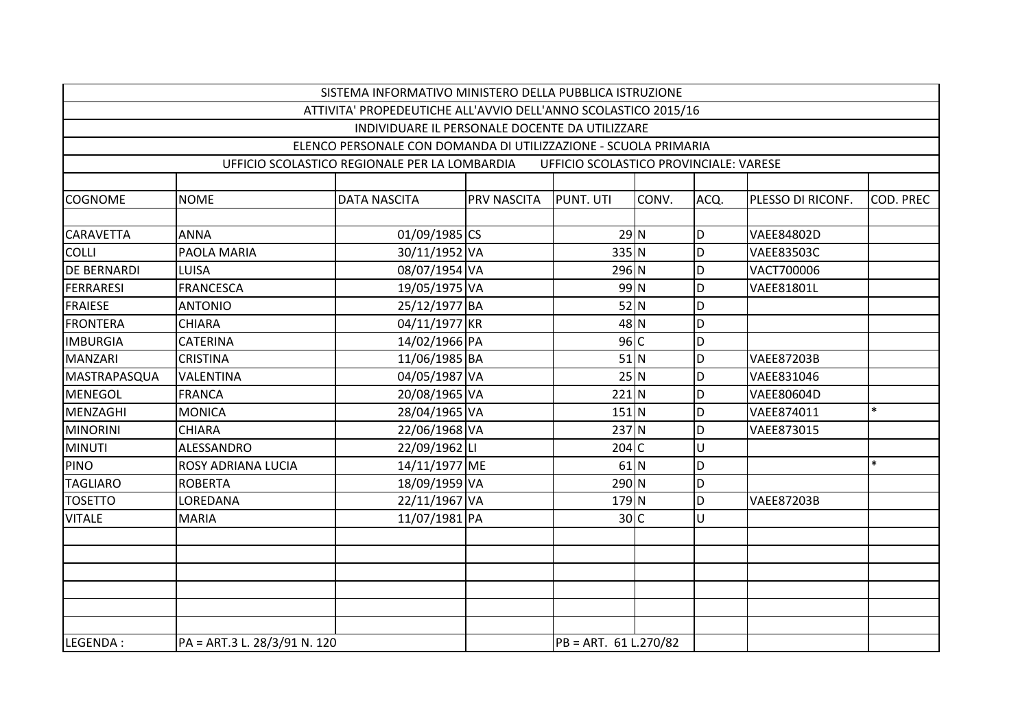|                    |                              | SISTEMA INFORMATIVO MINISTERO DELLA PUBBLICA ISTRUZIONE         |             |                                        |       |      |                   |           |
|--------------------|------------------------------|-----------------------------------------------------------------|-------------|----------------------------------------|-------|------|-------------------|-----------|
|                    |                              | ATTIVITA' PROPEDEUTICHE ALL'AVVIO DELL'ANNO SCOLASTICO 2015/16  |             |                                        |       |      |                   |           |
|                    |                              | INDIVIDUARE IL PERSONALE DOCENTE DA UTILIZZARE                  |             |                                        |       |      |                   |           |
|                    |                              | ELENCO PERSONALE CON DOMANDA DI UTILIZZAZIONE - SCUOLA PRIMARIA |             |                                        |       |      |                   |           |
|                    |                              | UFFICIO SCOLASTICO REGIONALE PER LA LOMBARDIA                   |             | UFFICIO SCOLASTICO PROVINCIALE: VARESE |       |      |                   |           |
|                    |                              |                                                                 |             |                                        |       |      |                   |           |
| <b>COGNOME</b>     | <b>NOME</b>                  | <b>DATA NASCITA</b>                                             | PRV NASCITA | PUNT. UTI                              | CONV. | ACQ. | PLESSO DI RICONF. | COD. PREC |
|                    |                              |                                                                 |             |                                        |       |      |                   |           |
| <b>CARAVETTA</b>   | <b>ANNA</b>                  | 01/09/1985 CS                                                   |             | $29$ N                                 |       | D    | <b>VAEE84802D</b> |           |
| <b>COLLI</b>       | PAOLA MARIA                  | 30/11/1952 VA                                                   |             | 335 N                                  |       | D    | <b>VAEE83503C</b> |           |
| <b>DE BERNARDI</b> | <b>LUISA</b>                 | 08/07/1954 VA                                                   |             | 296 N                                  |       | D    | VACT700006        |           |
| <b>FERRARESI</b>   | <b>FRANCESCA</b>             | 19/05/1975 VA                                                   |             | 99 N                                   |       | D    | <b>VAEE81801L</b> |           |
| <b>FRAIESE</b>     | <b>ANTONIO</b>               | 25/12/1977 BA                                                   |             | $52$ N                                 |       | D    |                   |           |
| <b>FRONTERA</b>    | <b>CHIARA</b>                | 04/11/1977 KR                                                   |             | 48 N                                   |       | D    |                   |           |
| <b>IMBURGIA</b>    | <b>CATERINA</b>              | 14/02/1966 PA                                                   |             | 96C                                    |       | D    |                   |           |
| <b>MANZARI</b>     | <b>CRISTINA</b>              | 11/06/1985 BA                                                   |             | $51$ N                                 |       | D    | <b>VAEE87203B</b> |           |
| MASTRAPASQUA       | <b>VALENTINA</b>             | 04/05/1987 VA                                                   |             | $25$ N                                 |       | D    | VAEE831046        |           |
| <b>MENEGOL</b>     | <b>FRANCA</b>                | 20/08/1965 VA                                                   |             | $221$ N                                |       | D    | <b>VAEE80604D</b> |           |
| MENZAGHI           | <b>MONICA</b>                | 28/04/1965 VA                                                   |             | $151$ N                                |       | D    | VAEE874011        | $\ast$    |
| <b>MINORINI</b>    | <b>CHIARA</b>                | 22/06/1968 VA                                                   |             | $237$ N                                |       | D    | VAEE873015        |           |
| <b>MINUTI</b>      | ALESSANDRO                   | 22/09/1962LI                                                    |             | $204$ C                                |       | U    |                   |           |
| <b>PINO</b>        | ROSY ADRIANA LUCIA           | 14/11/1977 ME                                                   |             | $61$ N                                 |       | D    |                   | $\ast$    |
| TAGLIARO           | <b>ROBERTA</b>               | 18/09/1959 VA                                                   |             | $290$ N                                |       | D    |                   |           |
| <b>TOSETTO</b>     | LOREDANA                     | 22/11/1967 VA                                                   |             | $179$ N                                |       | D    | <b>VAEE87203B</b> |           |
| <b>VITALE</b>      | <b>MARIA</b>                 | 11/07/1981 PA                                                   |             | 30 C                                   |       | U    |                   |           |
|                    |                              |                                                                 |             |                                        |       |      |                   |           |
|                    |                              |                                                                 |             |                                        |       |      |                   |           |
|                    |                              |                                                                 |             |                                        |       |      |                   |           |
|                    |                              |                                                                 |             |                                        |       |      |                   |           |
|                    |                              |                                                                 |             |                                        |       |      |                   |           |
|                    |                              |                                                                 |             |                                        |       |      |                   |           |
| LEGENDA:           | PA = ART.3 L. 28/3/91 N. 120 |                                                                 |             | PB = ART. 61 L.270/82                  |       |      |                   |           |
|                    |                              |                                                                 |             |                                        |       |      |                   |           |